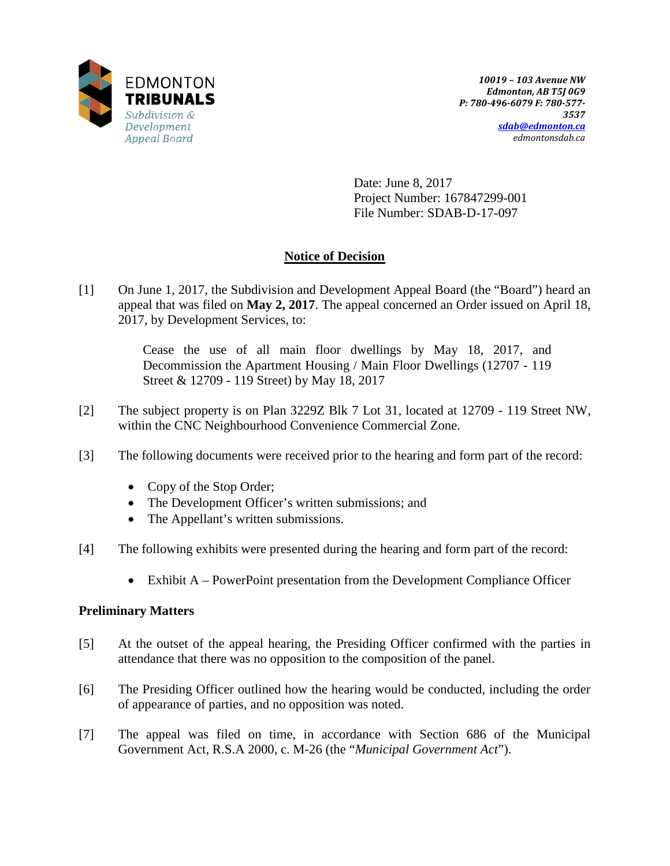

Date: June 8, 2017 Project Number: 167847299-001 File Number: SDAB-D-17-097

# **Notice of Decision**

[1] On June 1, 2017, the Subdivision and Development Appeal Board (the "Board") heard an appeal that was filed on **May 2, 2017**. The appeal concerned an Order issued on April 18, 2017, by Development Services, to:

> Cease the use of all main floor dwellings by May 18, 2017, and Decommission the Apartment Housing / Main Floor Dwellings (12707 - 119 Street & 12709 - 119 Street) by May 18, 2017

- [2] The subject property is on Plan 3229Z Blk 7 Lot 31, located at 12709 119 Street NW, within the CNC Neighbourhood Convenience Commercial Zone.
- [3] The following documents were received prior to the hearing and form part of the record:
	- Copy of the Stop Order;
	- The Development Officer's written submissions; and
	- The Appellant's written submissions.
- [4] The following exhibits were presented during the hearing and form part of the record:
	- Exhibit A PowerPoint presentation from the Development Compliance Officer

# **Preliminary Matters**

- [5] At the outset of the appeal hearing, the Presiding Officer confirmed with the parties in attendance that there was no opposition to the composition of the panel.
- [6] The Presiding Officer outlined how the hearing would be conducted, including the order of appearance of parties, and no opposition was noted.
- [7] The appeal was filed on time, in accordance with Section 686 of the Municipal Government Act, R.S.A 2000, c. M-26 (the "*Municipal Government Act*").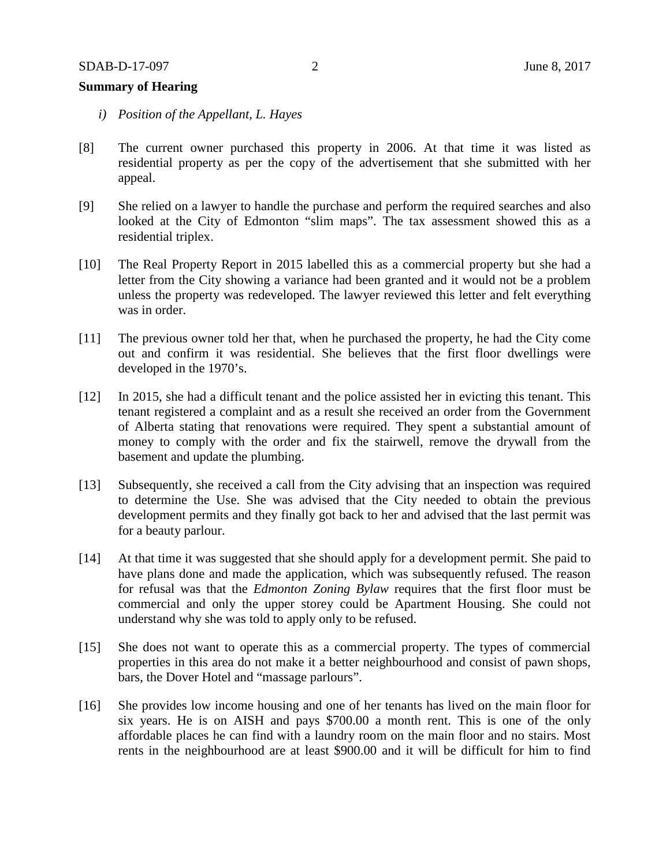## **Summary of Hearing**

- *i) Position of the Appellant, L. Hayes*
- [8] The current owner purchased this property in 2006. At that time it was listed as residential property as per the copy of the advertisement that she submitted with her appeal.
- [9] She relied on a lawyer to handle the purchase and perform the required searches and also looked at the City of Edmonton "slim maps". The tax assessment showed this as a residential triplex.
- [10] The Real Property Report in 2015 labelled this as a commercial property but she had a letter from the City showing a variance had been granted and it would not be a problem unless the property was redeveloped. The lawyer reviewed this letter and felt everything was in order.
- [11] The previous owner told her that, when he purchased the property, he had the City come out and confirm it was residential. She believes that the first floor dwellings were developed in the 1970's.
- [12] In 2015, she had a difficult tenant and the police assisted her in evicting this tenant. This tenant registered a complaint and as a result she received an order from the Government of Alberta stating that renovations were required. They spent a substantial amount of money to comply with the order and fix the stairwell, remove the drywall from the basement and update the plumbing.
- [13] Subsequently, she received a call from the City advising that an inspection was required to determine the Use. She was advised that the City needed to obtain the previous development permits and they finally got back to her and advised that the last permit was for a beauty parlour.
- [14] At that time it was suggested that she should apply for a development permit. She paid to have plans done and made the application, which was subsequently refused. The reason for refusal was that the *Edmonton Zoning Bylaw* requires that the first floor must be commercial and only the upper storey could be Apartment Housing. She could not understand why she was told to apply only to be refused.
- [15] She does not want to operate this as a commercial property. The types of commercial properties in this area do not make it a better neighbourhood and consist of pawn shops, bars, the Dover Hotel and "massage parlours".
- [16] She provides low income housing and one of her tenants has lived on the main floor for six years. He is on AISH and pays \$700.00 a month rent. This is one of the only affordable places he can find with a laundry room on the main floor and no stairs. Most rents in the neighbourhood are at least \$900.00 and it will be difficult for him to find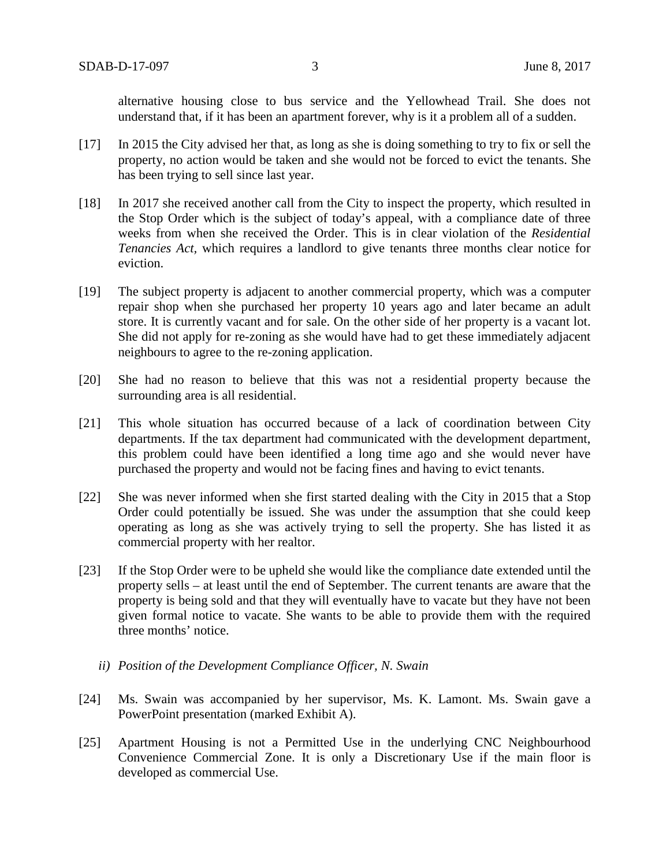alternative housing close to bus service and the Yellowhead Trail. She does not understand that, if it has been an apartment forever, why is it a problem all of a sudden.

- [17] In 2015 the City advised her that, as long as she is doing something to try to fix or sell the property, no action would be taken and she would not be forced to evict the tenants. She has been trying to sell since last year.
- [18] In 2017 she received another call from the City to inspect the property, which resulted in the Stop Order which is the subject of today's appeal, with a compliance date of three weeks from when she received the Order. This is in clear violation of the *Residential Tenancies Act,* which requires a landlord to give tenants three months clear notice for eviction.
- [19] The subject property is adjacent to another commercial property, which was a computer repair shop when she purchased her property 10 years ago and later became an adult store. It is currently vacant and for sale. On the other side of her property is a vacant lot. She did not apply for re-zoning as she would have had to get these immediately adjacent neighbours to agree to the re-zoning application.
- [20] She had no reason to believe that this was not a residential property because the surrounding area is all residential.
- [21] This whole situation has occurred because of a lack of coordination between City departments. If the tax department had communicated with the development department, this problem could have been identified a long time ago and she would never have purchased the property and would not be facing fines and having to evict tenants.
- [22] She was never informed when she first started dealing with the City in 2015 that a Stop Order could potentially be issued. She was under the assumption that she could keep operating as long as she was actively trying to sell the property. She has listed it as commercial property with her realtor.
- [23] If the Stop Order were to be upheld she would like the compliance date extended until the property sells – at least until the end of September. The current tenants are aware that the property is being sold and that they will eventually have to vacate but they have not been given formal notice to vacate. She wants to be able to provide them with the required three months' notice.
	- *ii) Position of the Development Compliance Officer, N. Swain*
- [24] Ms. Swain was accompanied by her supervisor, Ms. K. Lamont. Ms. Swain gave a PowerPoint presentation (marked Exhibit A).
- [25] Apartment Housing is not a Permitted Use in the underlying CNC Neighbourhood Convenience Commercial Zone. It is only a Discretionary Use if the main floor is developed as commercial Use.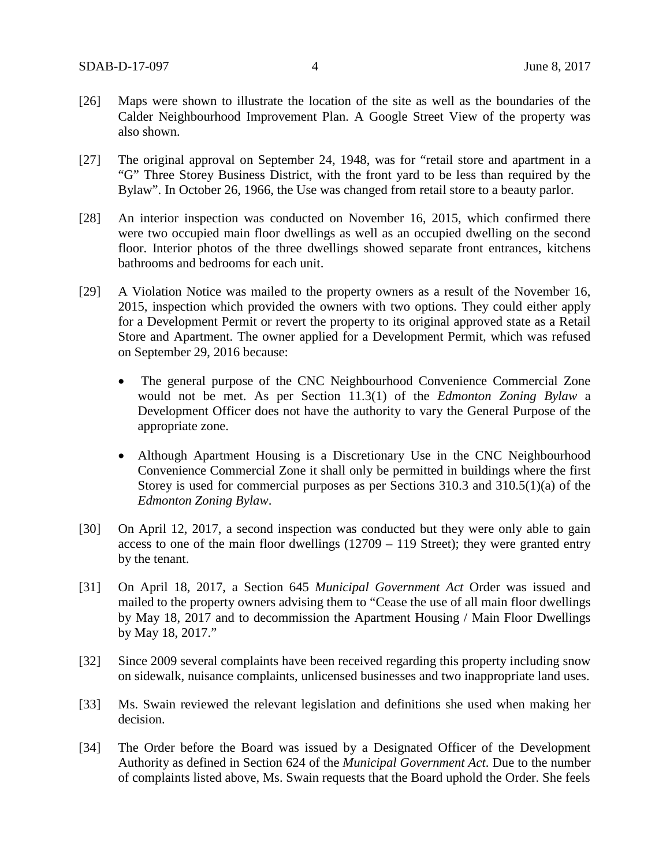- [26] Maps were shown to illustrate the location of the site as well as the boundaries of the Calder Neighbourhood Improvement Plan. A Google Street View of the property was also shown.
- [27] The original approval on September 24, 1948, was for "retail store and apartment in a "G" Three Storey Business District, with the front yard to be less than required by the Bylaw". In October 26, 1966, the Use was changed from retail store to a beauty parlor.
- [28] An interior inspection was conducted on November 16, 2015, which confirmed there were two occupied main floor dwellings as well as an occupied dwelling on the second floor. Interior photos of the three dwellings showed separate front entrances, kitchens bathrooms and bedrooms for each unit.
- [29] A Violation Notice was mailed to the property owners as a result of the November 16, 2015, inspection which provided the owners with two options. They could either apply for a Development Permit or revert the property to its original approved state as a Retail Store and Apartment. The owner applied for a Development Permit, which was refused on September 29, 2016 because:
	- The general purpose of the CNC Neighbourhood Convenience Commercial Zone would not be met. As per Section 11.3(1) of the *Edmonton Zoning Bylaw* a Development Officer does not have the authority to vary the General Purpose of the appropriate zone.
	- Although Apartment Housing is a Discretionary Use in the CNC Neighbourhood Convenience Commercial Zone it shall only be permitted in buildings where the first Storey is used for commercial purposes as per Sections 310.3 and 310.5(1)(a) of the *Edmonton Zoning Bylaw*.
- [30] On April 12, 2017, a second inspection was conducted but they were only able to gain access to one of the main floor dwellings (12709 – 119 Street); they were granted entry by the tenant.
- [31] On April 18, 2017, a Section 645 *Municipal Government Act* Order was issued and mailed to the property owners advising them to "Cease the use of all main floor dwellings by May 18, 2017 and to decommission the Apartment Housing / Main Floor Dwellings by May 18, 2017."
- [32] Since 2009 several complaints have been received regarding this property including snow on sidewalk, nuisance complaints, unlicensed businesses and two inappropriate land uses.
- [33] Ms. Swain reviewed the relevant legislation and definitions she used when making her decision.
- [34] The Order before the Board was issued by a Designated Officer of the Development Authority as defined in Section 624 of the *Municipal Government Act*. Due to the number of complaints listed above, Ms. Swain requests that the Board uphold the Order. She feels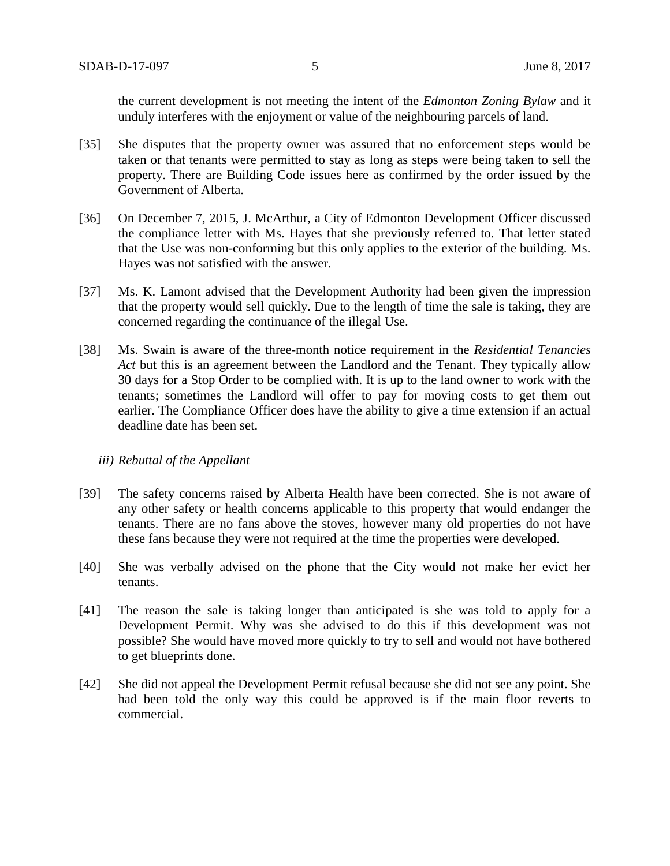the current development is not meeting the intent of the *Edmonton Zoning Bylaw* and it unduly interferes with the enjoyment or value of the neighbouring parcels of land.

- [35] She disputes that the property owner was assured that no enforcement steps would be taken or that tenants were permitted to stay as long as steps were being taken to sell the property. There are Building Code issues here as confirmed by the order issued by the Government of Alberta.
- [36] On December 7, 2015, J. McArthur, a City of Edmonton Development Officer discussed the compliance letter with Ms. Hayes that she previously referred to. That letter stated that the Use was non-conforming but this only applies to the exterior of the building. Ms. Hayes was not satisfied with the answer.
- [37] Ms. K. Lamont advised that the Development Authority had been given the impression that the property would sell quickly. Due to the length of time the sale is taking, they are concerned regarding the continuance of the illegal Use.
- [38] Ms. Swain is aware of the three-month notice requirement in the *Residential Tenancies Act* but this is an agreement between the Landlord and the Tenant. They typically allow 30 days for a Stop Order to be complied with. It is up to the land owner to work with the tenants; sometimes the Landlord will offer to pay for moving costs to get them out earlier. The Compliance Officer does have the ability to give a time extension if an actual deadline date has been set.

#### *iii) Rebuttal of the Appellant*

- [39] The safety concerns raised by Alberta Health have been corrected. She is not aware of any other safety or health concerns applicable to this property that would endanger the tenants. There are no fans above the stoves, however many old properties do not have these fans because they were not required at the time the properties were developed.
- [40] She was verbally advised on the phone that the City would not make her evict her tenants.
- [41] The reason the sale is taking longer than anticipated is she was told to apply for a Development Permit. Why was she advised to do this if this development was not possible? She would have moved more quickly to try to sell and would not have bothered to get blueprints done.
- [42] She did not appeal the Development Permit refusal because she did not see any point. She had been told the only way this could be approved is if the main floor reverts to commercial.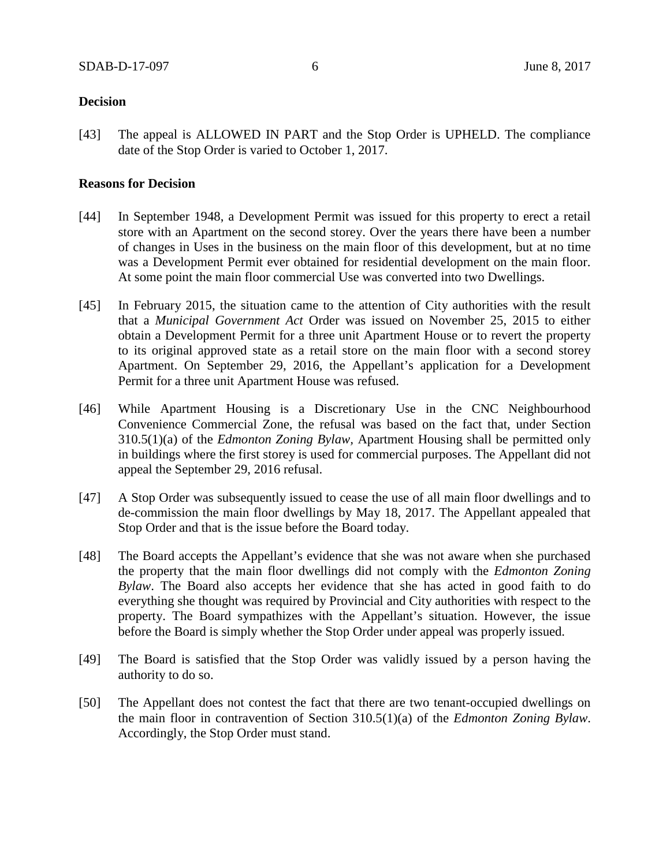### **Decision**

[43] The appeal is ALLOWED IN PART and the Stop Order is UPHELD. The compliance date of the Stop Order is varied to October 1, 2017.

### **Reasons for Decision**

- [44] In September 1948, a Development Permit was issued for this property to erect a retail store with an Apartment on the second storey. Over the years there have been a number of changes in Uses in the business on the main floor of this development, but at no time was a Development Permit ever obtained for residential development on the main floor. At some point the main floor commercial Use was converted into two Dwellings.
- [45] In February 2015, the situation came to the attention of City authorities with the result that a *Municipal Government Act* Order was issued on November 25, 2015 to either obtain a Development Permit for a three unit Apartment House or to revert the property to its original approved state as a retail store on the main floor with a second storey Apartment. On September 29, 2016, the Appellant's application for a Development Permit for a three unit Apartment House was refused.
- [46] While Apartment Housing is a Discretionary Use in the CNC Neighbourhood Convenience Commercial Zone, the refusal was based on the fact that, under Section 310.5(1)(a) of the *Edmonton Zoning Bylaw,* Apartment Housing shall be permitted only in buildings where the first storey is used for commercial purposes. The Appellant did not appeal the September 29, 2016 refusal.
- [47] A Stop Order was subsequently issued to cease the use of all main floor dwellings and to de-commission the main floor dwellings by May 18, 2017. The Appellant appealed that Stop Order and that is the issue before the Board today.
- [48] The Board accepts the Appellant's evidence that she was not aware when she purchased the property that the main floor dwellings did not comply with the *Edmonton Zoning Bylaw*. The Board also accepts her evidence that she has acted in good faith to do everything she thought was required by Provincial and City authorities with respect to the property. The Board sympathizes with the Appellant's situation. However, the issue before the Board is simply whether the Stop Order under appeal was properly issued.
- [49] The Board is satisfied that the Stop Order was validly issued by a person having the authority to do so.
- [50] The Appellant does not contest the fact that there are two tenant-occupied dwellings on the main floor in contravention of Section 310.5(1)(a) of the *Edmonton Zoning Bylaw*. Accordingly, the Stop Order must stand.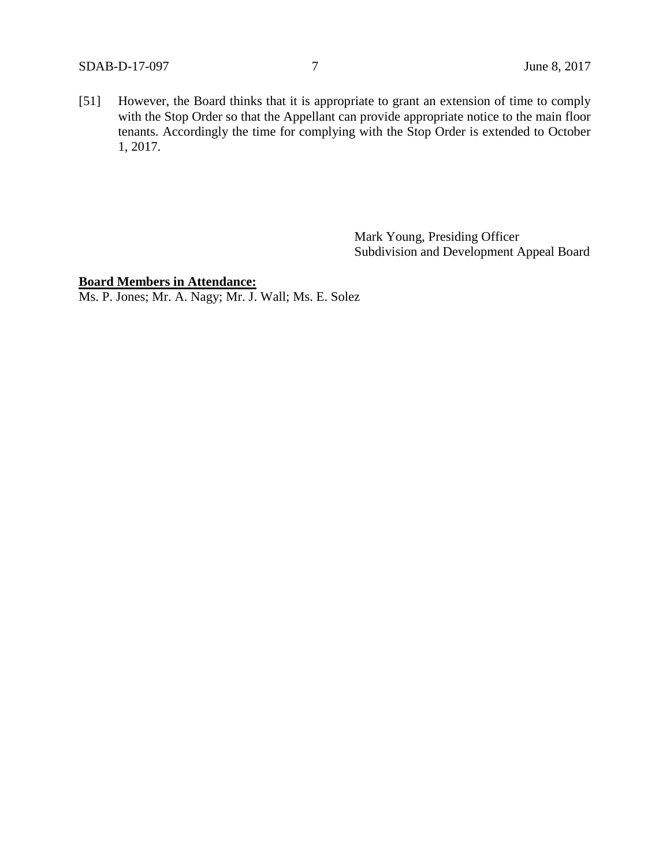[51] However, the Board thinks that it is appropriate to grant an extension of time to comply with the Stop Order so that the Appellant can provide appropriate notice to the main floor tenants. Accordingly the time for complying with the Stop Order is extended to October 1, 2017.

> Mark Young, Presiding Officer Subdivision and Development Appeal Board

# **Board Members in Attendance:**

Ms. P. Jones; Mr. A. Nagy; Mr. J. Wall; Ms. E. Solez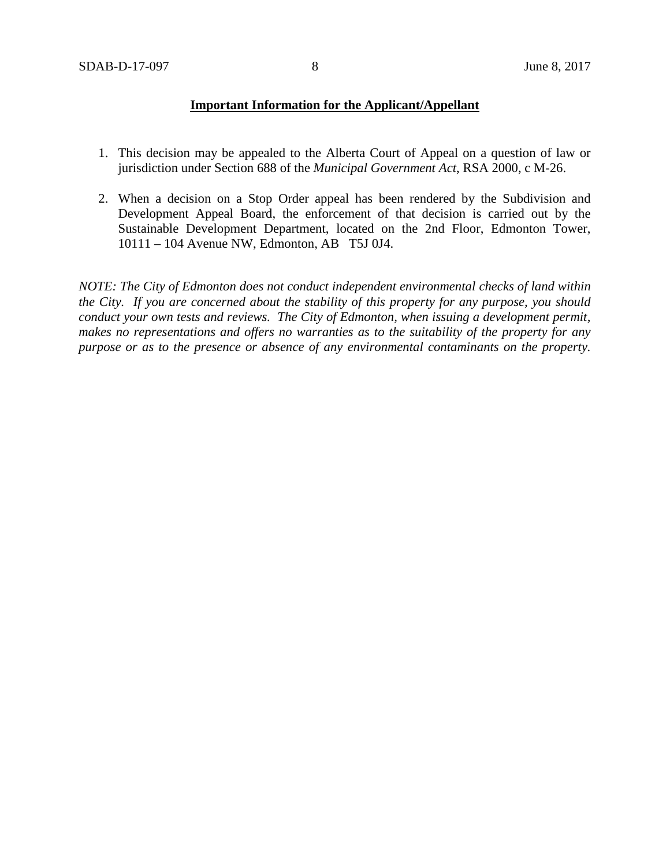## **Important Information for the Applicant/Appellant**

- 1. This decision may be appealed to the Alberta Court of Appeal on a question of law or jurisdiction under Section 688 of the *Municipal Government Act*, RSA 2000, c M-26.
- 2. When a decision on a Stop Order appeal has been rendered by the Subdivision and Development Appeal Board, the enforcement of that decision is carried out by the Sustainable Development Department, located on the 2nd Floor, Edmonton Tower, 10111 – 104 Avenue NW, Edmonton, AB T5J 0J4.

*NOTE: The City of Edmonton does not conduct independent environmental checks of land within the City. If you are concerned about the stability of this property for any purpose, you should conduct your own tests and reviews. The City of Edmonton, when issuing a development permit, makes no representations and offers no warranties as to the suitability of the property for any purpose or as to the presence or absence of any environmental contaminants on the property.*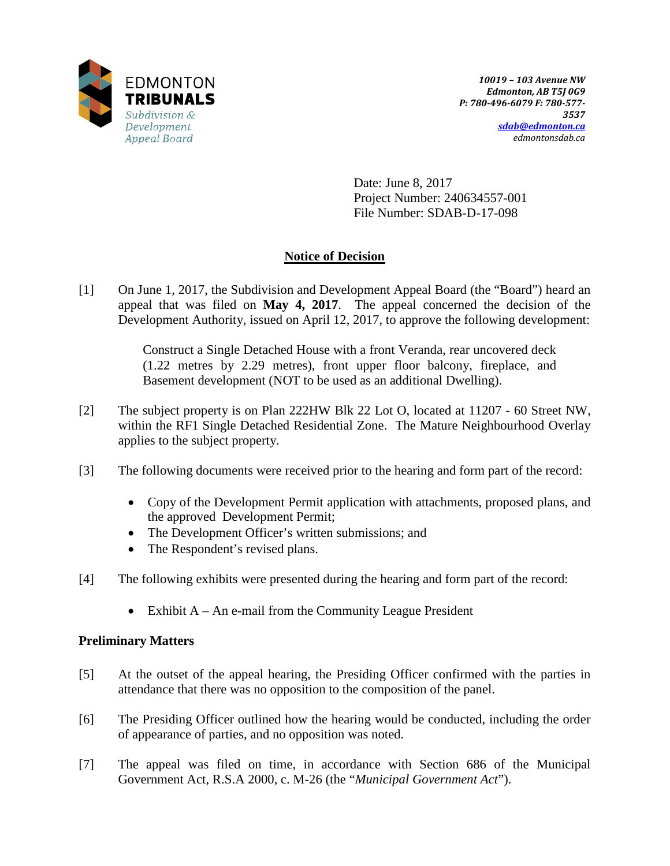

Date: June 8, 2017 Project Number: 240634557-001 File Number: SDAB-D-17-098

# **Notice of Decision**

[1] On June 1, 2017, the Subdivision and Development Appeal Board (the "Board") heard an appeal that was filed on **May 4, 2017**. The appeal concerned the decision of the Development Authority, issued on April 12, 2017, to approve the following development:

> Construct a Single Detached House with a front Veranda, rear uncovered deck (1.22 metres by 2.29 metres), front upper floor balcony, fireplace, and Basement development (NOT to be used as an additional Dwelling).

- [2] The subject property is on Plan 222HW Blk 22 Lot O, located at 11207 60 Street NW, within the RF1 Single Detached Residential Zone. The Mature Neighbourhood Overlay applies to the subject property.
- [3] The following documents were received prior to the hearing and form part of the record:
	- Copy of the Development Permit application with attachments, proposed plans, and the approved Development Permit;
	- The Development Officer's written submissions; and
	- The Respondent's revised plans.
- [4] The following exhibits were presented during the hearing and form part of the record:
	- Exhibit  $A An$  e-mail from the Community League President

# **Preliminary Matters**

- [5] At the outset of the appeal hearing, the Presiding Officer confirmed with the parties in attendance that there was no opposition to the composition of the panel.
- [6] The Presiding Officer outlined how the hearing would be conducted, including the order of appearance of parties, and no opposition was noted.
- [7] The appeal was filed on time, in accordance with Section 686 of the Municipal Government Act, R.S.A 2000, c. M-26 (the "*Municipal Government Act*").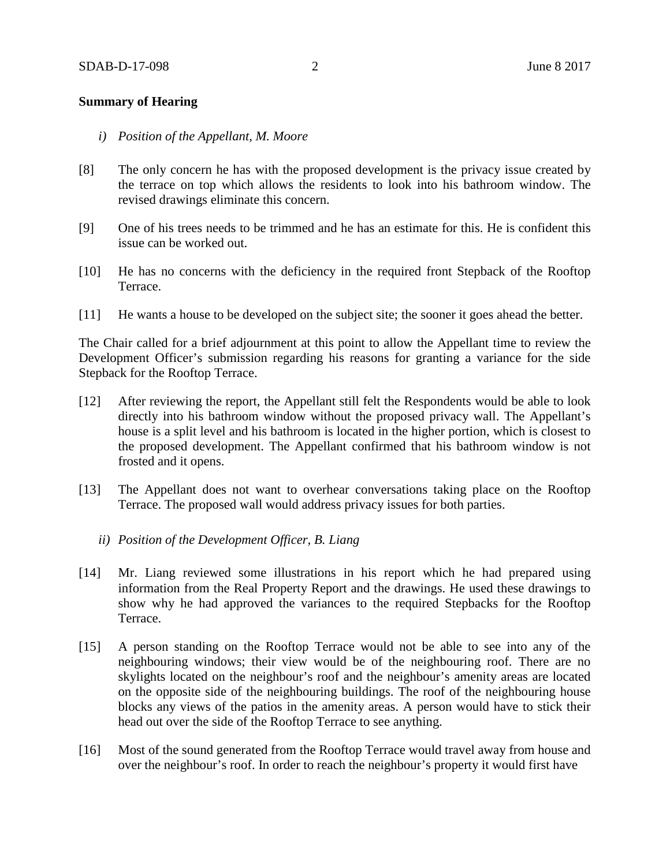### **Summary of Hearing**

- *i) Position of the Appellant, M. Moore*
- [8] The only concern he has with the proposed development is the privacy issue created by the terrace on top which allows the residents to look into his bathroom window. The revised drawings eliminate this concern.
- [9] One of his trees needs to be trimmed and he has an estimate for this. He is confident this issue can be worked out.
- [10] He has no concerns with the deficiency in the required front Stepback of the Rooftop Terrace.
- [11] He wants a house to be developed on the subject site; the sooner it goes ahead the better.

The Chair called for a brief adjournment at this point to allow the Appellant time to review the Development Officer's submission regarding his reasons for granting a variance for the side Stepback for the Rooftop Terrace.

- [12] After reviewing the report, the Appellant still felt the Respondents would be able to look directly into his bathroom window without the proposed privacy wall. The Appellant's house is a split level and his bathroom is located in the higher portion, which is closest to the proposed development. The Appellant confirmed that his bathroom window is not frosted and it opens.
- [13] The Appellant does not want to overhear conversations taking place on the Rooftop Terrace. The proposed wall would address privacy issues for both parties.
	- *ii) Position of the Development Officer, B. Liang*
- [14] Mr. Liang reviewed some illustrations in his report which he had prepared using information from the Real Property Report and the drawings. He used these drawings to show why he had approved the variances to the required Stepbacks for the Rooftop Terrace.
- [15] A person standing on the Rooftop Terrace would not be able to see into any of the neighbouring windows; their view would be of the neighbouring roof. There are no skylights located on the neighbour's roof and the neighbour's amenity areas are located on the opposite side of the neighbouring buildings. The roof of the neighbouring house blocks any views of the patios in the amenity areas. A person would have to stick their head out over the side of the Rooftop Terrace to see anything.
- [16] Most of the sound generated from the Rooftop Terrace would travel away from house and over the neighbour's roof. In order to reach the neighbour's property it would first have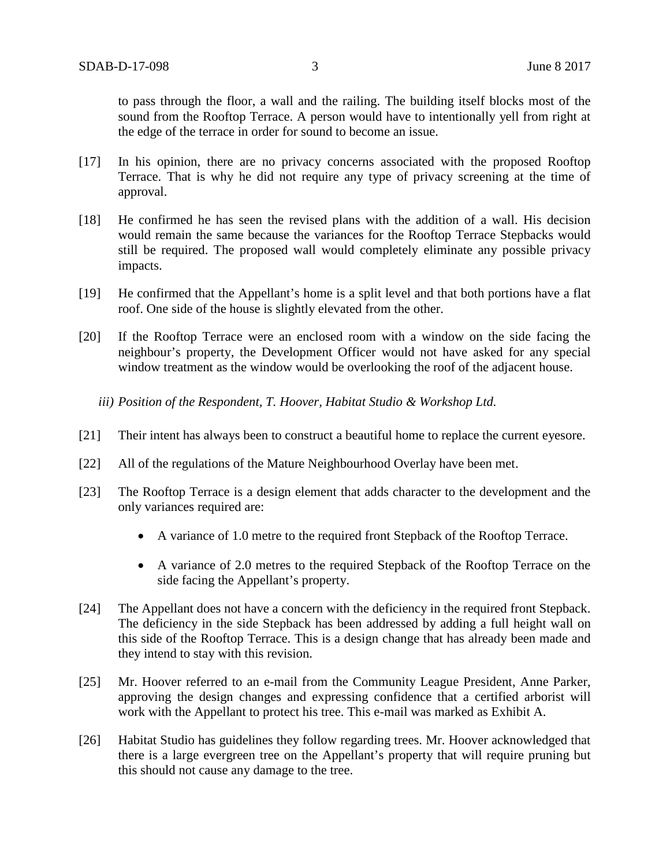to pass through the floor, a wall and the railing. The building itself blocks most of the sound from the Rooftop Terrace. A person would have to intentionally yell from right at the edge of the terrace in order for sound to become an issue.

- [17] In his opinion, there are no privacy concerns associated with the proposed Rooftop Terrace. That is why he did not require any type of privacy screening at the time of approval.
- [18] He confirmed he has seen the revised plans with the addition of a wall. His decision would remain the same because the variances for the Rooftop Terrace Stepbacks would still be required. The proposed wall would completely eliminate any possible privacy impacts.
- [19] He confirmed that the Appellant's home is a split level and that both portions have a flat roof. One side of the house is slightly elevated from the other.
- [20] If the Rooftop Terrace were an enclosed room with a window on the side facing the neighbour's property, the Development Officer would not have asked for any special window treatment as the window would be overlooking the roof of the adjacent house.

*iii) Position of the Respondent, T. Hoover, Habitat Studio & Workshop Ltd.*

- [21] Their intent has always been to construct a beautiful home to replace the current eyesore.
- [22] All of the regulations of the Mature Neighbourhood Overlay have been met.
- [23] The Rooftop Terrace is a design element that adds character to the development and the only variances required are:
	- A variance of 1.0 metre to the required front Stepback of the Rooftop Terrace.
	- A variance of 2.0 metres to the required Stepback of the Rooftop Terrace on the side facing the Appellant's property.
- [24] The Appellant does not have a concern with the deficiency in the required front Stepback. The deficiency in the side Stepback has been addressed by adding a full height wall on this side of the Rooftop Terrace. This is a design change that has already been made and they intend to stay with this revision.
- [25] Mr. Hoover referred to an e-mail from the Community League President, Anne Parker, approving the design changes and expressing confidence that a certified arborist will work with the Appellant to protect his tree. This e-mail was marked as Exhibit A.
- [26] Habitat Studio has guidelines they follow regarding trees. Mr. Hoover acknowledged that there is a large evergreen tree on the Appellant's property that will require pruning but this should not cause any damage to the tree.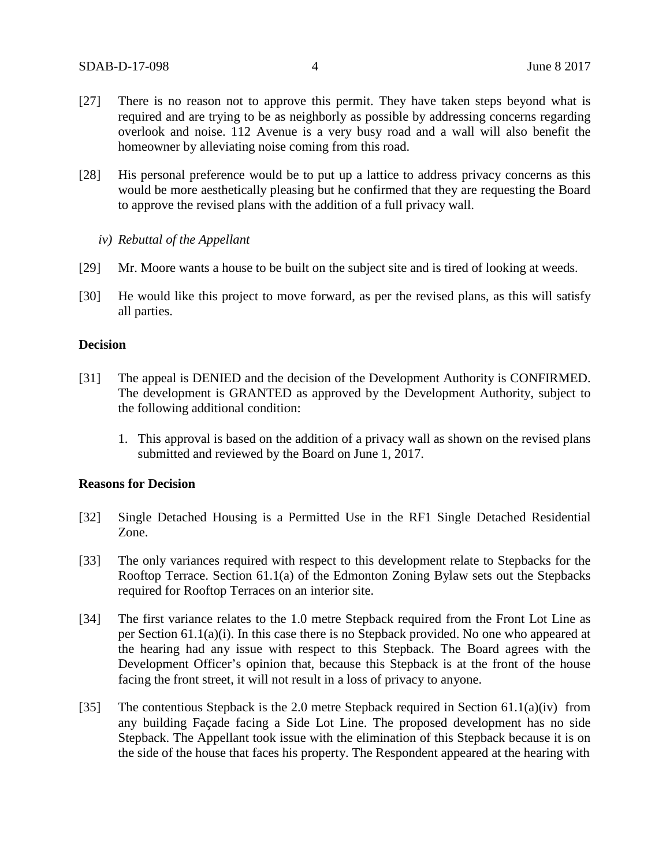- [27] There is no reason not to approve this permit. They have taken steps beyond what is required and are trying to be as neighborly as possible by addressing concerns regarding overlook and noise. 112 Avenue is a very busy road and a wall will also benefit the homeowner by alleviating noise coming from this road.
- [28] His personal preference would be to put up a lattice to address privacy concerns as this would be more aesthetically pleasing but he confirmed that they are requesting the Board to approve the revised plans with the addition of a full privacy wall.
	- *iv) Rebuttal of the Appellant*
- [29] Mr. Moore wants a house to be built on the subject site and is tired of looking at weeds.
- [30] He would like this project to move forward, as per the revised plans, as this will satisfy all parties.

### **Decision**

- [31] The appeal is DENIED and the decision of the Development Authority is CONFIRMED. The development is GRANTED as approved by the Development Authority, subject to the following additional condition:
	- 1. This approval is based on the addition of a privacy wall as shown on the revised plans submitted and reviewed by the Board on June 1, 2017.

#### **Reasons for Decision**

- [32] Single Detached Housing is a Permitted Use in the RF1 Single Detached Residential Zone.
- [33] The only variances required with respect to this development relate to Stepbacks for the Rooftop Terrace. Section 61.1(a) of the Edmonton Zoning Bylaw sets out the Stepbacks required for Rooftop Terraces on an interior site.
- [34] The first variance relates to the 1.0 metre Stepback required from the Front Lot Line as per Section 61.1(a)(i). In this case there is no Stepback provided. No one who appeared at the hearing had any issue with respect to this Stepback. The Board agrees with the Development Officer's opinion that, because this Stepback is at the front of the house facing the front street, it will not result in a loss of privacy to anyone.
- [35] The contentious Stepback is the 2.0 metre Stepback required in Section 61.1(a)(iv) from any building Façade facing a Side Lot Line. The proposed development has no side Stepback. The Appellant took issue with the elimination of this Stepback because it is on the side of the house that faces his property. The Respondent appeared at the hearing with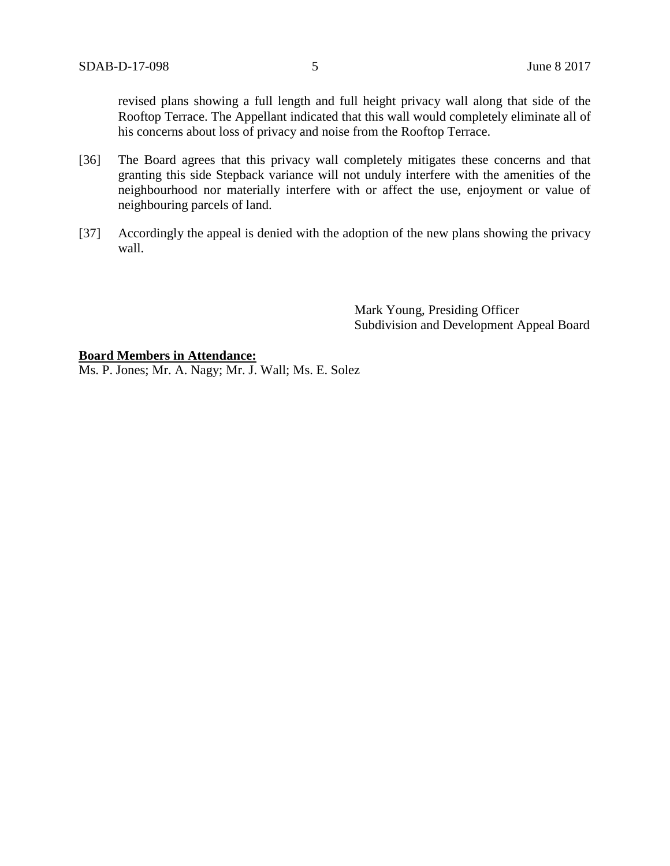revised plans showing a full length and full height privacy wall along that side of the Rooftop Terrace. The Appellant indicated that this wall would completely eliminate all of his concerns about loss of privacy and noise from the Rooftop Terrace.

- [36] The Board agrees that this privacy wall completely mitigates these concerns and that granting this side Stepback variance will not unduly interfere with the amenities of the neighbourhood nor materially interfere with or affect the use, enjoyment or value of neighbouring parcels of land.
- [37] Accordingly the appeal is denied with the adoption of the new plans showing the privacy wall.

Mark Young, Presiding Officer Subdivision and Development Appeal Board

#### **Board Members in Attendance:**

Ms. P. Jones; Mr. A. Nagy; Mr. J. Wall; Ms. E. Solez